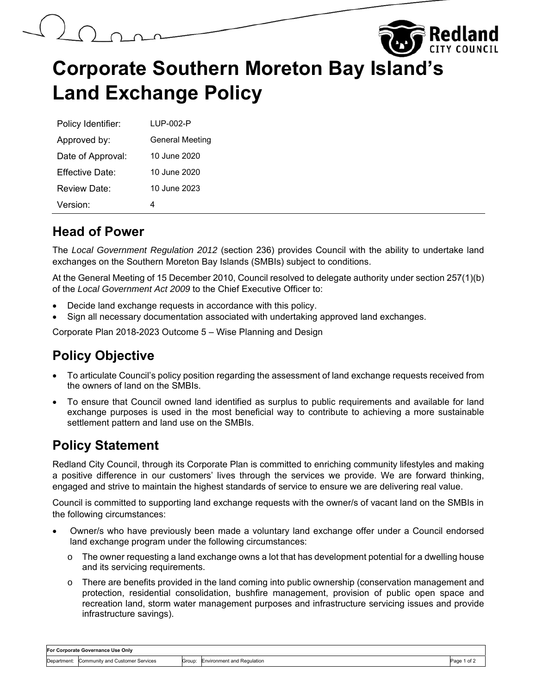



| Policy Identifier: | LUP-002-P              |
|--------------------|------------------------|
| Approved by:       | <b>General Meeting</b> |
| Date of Approval:  | 10 June 2020           |
| Fffective Date:    | 10 June 2020           |
| Review Date:       | 10 June 2023           |
| Version:           | 4                      |

### **Head of Power**

The *Local Government Regulation 2012* (section 236) provides Council with the ability to undertake land exchanges on the Southern Moreton Bay Islands (SMBIs) subject to conditions.

At the General Meeting of 15 December 2010, Council resolved to delegate authority under section 257(1)(b) of the *Local Government Act 2009* to the Chief Executive Officer to:

- Decide land exchange requests in accordance with this policy.
- Sign all necessary documentation associated with undertaking approved land exchanges.

Corporate Plan 2018-2023 Outcome 5 – Wise Planning and Design

# **Policy Objective**

- To articulate Council's policy position regarding the assessment of land exchange requests received from the owners of land on the SMBIs.
- To ensure that Council owned land identified as surplus to public requirements and available for land exchange purposes is used in the most beneficial way to contribute to achieving a more sustainable settlement pattern and land use on the SMBIs.

# **Policy Statement**

Redland City Council, through its Corporate Plan is committed to enriching community lifestyles and making a positive difference in our customers' lives through the services we provide. We are forward thinking, engaged and strive to maintain the highest standards of service to ensure we are delivering real value.

Council is committed to supporting land exchange requests with the owner/s of vacant land on the SMBIs in the following circumstances:

- Owner/s who have previously been made a voluntary land exchange offer under a Council endorsed land exchange program under the following circumstances:
	- $\circ$  The owner requesting a land exchange owns a lot that has development potential for a dwelling house and its servicing requirements.
	- $\circ$  There are benefits provided in the land coming into public ownership (conservation management and protection, residential consolidation, bushfire management, provision of public open space and recreation land, storm water management purposes and infrastructure servicing issues and provide infrastructure savings).

| For Corporate Governance Use Only |                                             |        |                            |             |  |  |
|-----------------------------------|---------------------------------------------|--------|----------------------------|-------------|--|--|
|                                   | Department: Community and Customer Services | Group: | Environment and Regulation | Page 1 of 2 |  |  |